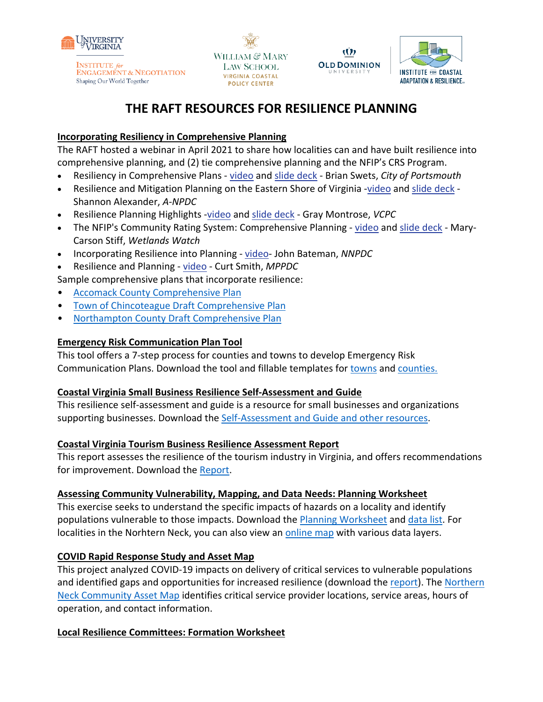

**INSTITUTE** for **ENGAGEMENT & NEGOTIATION** Shaping Our World Together

WILLIAM & MARY LAW SCHOOL **VIRGINIA COASTAL POLICY CENTER** 



Ŵ

# **THE RAFT RESOURCES FOR RESILIENCE PLANNING**

## **Incorporating Resiliency in Comprehensive Planning**

The RAFT hosted a webinar in April 2021 to share how localities can and have built resilience into comprehensive planning, and (2) tie comprehensive planning and the NFIP's CRS Program.

- Resiliency in Comprehensive Plans [video](http://www.youtube.com/watch?v=gkV1yLYcq4w&list=PLX1zjRLo43yq6L4DU8J2nuyi2jv4x-wNm&index=5) and [slide deck](https://raft.ien.virginia.edu/system/files/Portsmouth_Comp_Plan_Workshop_23%20Apr%202021.pdf) Brian Swets, *City of Portsmouth*
- Resilience and Mitigation Planning on the Eastern Shore of Virginia [-video](http://www.youtube.com/watch?v=ejTmCm0DTTA&list=PLX1zjRLo43yq6L4DU8J2nuyi2jv4x-wNm&index=4) and [slide deck](https://raft.ien.virginia.edu/system/files/Eastern_Shore_Comp_Plan_Workshop_23%20Apr%202021.pdf) -Shannon Alexander, *A-NPDC*
- Resilience Planning Highlights [-video](http://www.youtube.com/watch?v=AOhL_wXRXfw&list=PLX1zjRLo43yq6L4DU8J2nuyi2jv4x-wNm&index=7) and [slide deck](https://raft.ien.virginia.edu/system/files/The_RAFT_Comp_Plan_Workshop_23%20Apr%202021.pdf) Gray Montrose, *VCPC*
- The NFIP's Community Rating System: Comprehensive Planning [video](http://www.youtube.com/watch?v=Tkz2sQ7SnJA&list=PLX1zjRLo43yq6L4DU8J2nuyi2jv4x-wNm&index=6) and [slide deck](https://raft.ien.virginia.edu/system/files/Wetlands_Watch_Comp_Plan_Workshop_23%20Apr%202021.pdf) Mary-Carson Stiff, *Wetlands Watch*
- Incorporating Resilience into Planning video- John Bateman, *NNPDC*
- Resilience and Planning [video](https://youtu.be/4wRGKo01FX4) Curt Smith, *MPPDC*

Sample comprehensive plans that incorporate resilience:

- [Accomack County Comprehensive Plan](https://www.co.accomack.va.us/Home/ShowDocument?id=10669)
- [Town of Chincoteague Draft Comprehensive Plan](https://chincoteague-va.gov/wp-content/uploads/2020/01/2020-Comprehensive-Plan-Full-Document-revph.pdf)
- [Northampton County Draft Comprehensive Plan](https://www.co.northampton.va.us/UserFiles/Servers/Server_14877142/File/Government/Departments_Elected%20Offices/Planning,%20Permiting%20&%20Enforcement/Comp%20Plan%202019/YourNorthampton2040_PublicHearingDraft_May4_21.pdf)

## **Emergency Risk Communication Plan Tool**

This tool offers a 7-step process for counties and towns to develop Emergency Risk Communication Plans. Download the tool and fillable templates for [towns](https://raft.ien.virginia.edu/system/files/Town%20ERC%20Planning.pdf) and [counties.](https://raft.ien.virginia.edu/system/files/County%20ERC%20Planning%20%281%29.pdf)

### **Coastal Virginia Small Business Resilience Self-Assessment and Guide**

This resilience self-assessment and guide is a resource for small businesses and organizations supporting businesses. Download the [Self-Assessment and Guide and other resources.](https://www.floodingresiliency.org/coastal-virginia-small-business-resilience-self-assessment-and-guide/)

### **Coastal Virginia Tourism Business Resilience Assessment Report**

This report assesses the resilience of the tourism industry in Virginia, and offers recommendations for improvement. Download the [Report.](https://www.floodingresiliency.org/wp-content/uploads/2017/12/CCRFR-BrandedReport-Tourism-Report-FINAL.pdf)

### **Assessing Community Vulnerability, Mapping, and Data Needs: Planning Worksheet**

This exercise seeks to understand the specific impacts of hazards on a locality and identify populations vulnerable to those impacts. Download the [Planning Worksheet](https://raft.ien.virginia.edu/system/files/Exercise%20Contextualizing%20Natural%20Hazards%20and%20Impacts%20on%20Vulnerable%20Populations_Final.pdf) and [data list.](https://docs.google.com/document/d/1PNa9LkfzoTtKZncgwV9Q25bHo5q0Xf_rgs5BGJZidwY/edit) For localities in the Norhtern Neck, you can also view an [online map](https://uvalibrary.maps.arcgis.com/apps/View/index.html?appid=198aa46fa25a4997b80fe963dfa100c8) with various data layers.

## **COVID Rapid Response Study and Asset Map**

This project analyzed COVID-19 impacts on delivery of critical services to vulnerable populations and identified gaps and opportunities for increased resilience (download the [report\)](https://raft.ien.virginia.edu/system/files/The%20Impacts%20of%20COVID-19%20on%20Service%20Delivery%20in%20the%20Northern%20Neck_%20Barriers%2C%20Lessons%2C%20and%20Opportunities%20for%20Increased%20Resilience_August%202021.pdf). The [Northern](https://www.google.com/maps/d/u/0/edit?mid=1bWAgIdMWQ_Q6HBg_HeJ1Kc4EoNzild56&usp=sharing)  [Neck Community Asset Map](https://www.google.com/maps/d/u/0/edit?mid=1bWAgIdMWQ_Q6HBg_HeJ1Kc4EoNzild56&usp=sharing) identifies critical service provider locations, service areas, hours of operation, and contact information.

### **Local Resilience Committees: Formation Worksheet**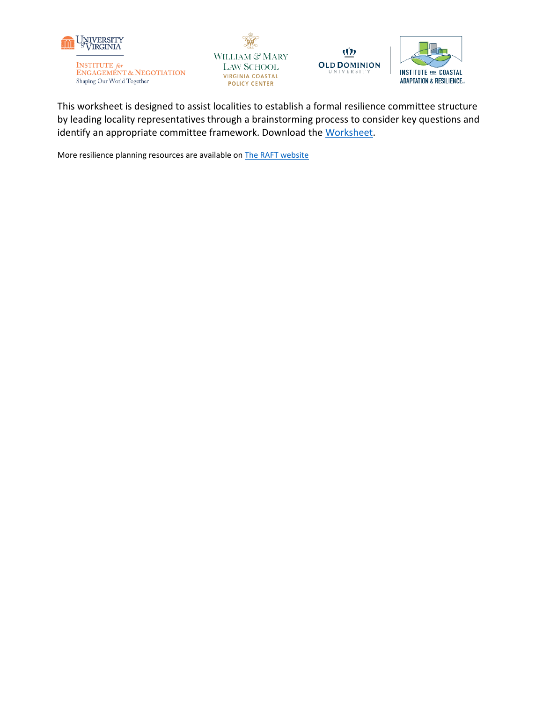

**INSTITUTE** for **ENGAGEMENT & NEGOTIATION** Shaping Our World Together







This worksheet is designed to assist localities to establish a formal resilience committee structure by leading locality representatives through a brainstorming process to consider key questions and identify an appropriate committee framework. Download the [Worksheet.](https://raft.ien.virginia.edu/system/files/Resilience%20Committee%20Brainstorming%20Worksheet_FINAL.pdf)

More resilience planning resources are available on **The RAFT** website